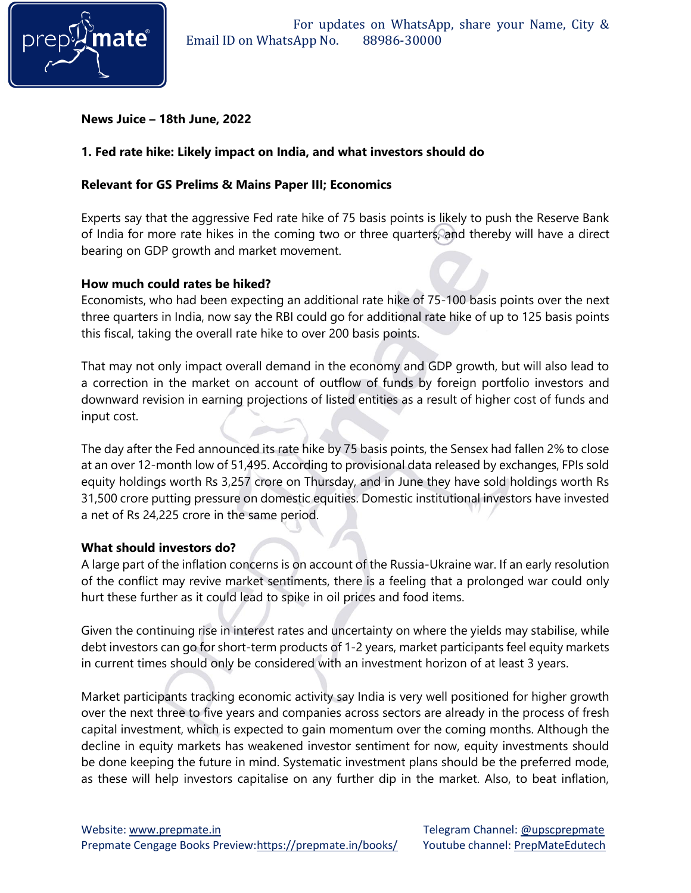

# **News Juice – 18th June, 2022**

# **1. Fed rate hike: Likely impact on India, and what investors should do**

#### **Relevant for GS Prelims & Mains Paper III; Economics**

Experts say that the aggressive Fed rate hike of 75 basis points is likely to push the Reserve Bank of India for more rate hikes in the coming two or three quarters, and thereby will have a direct bearing on GDP growth and market movement.

#### **How much could rates be hiked?**

Economists, who had been expecting an additional rate hike of 75-100 basis points over the next three quarters in India, now say the RBI could go for additional rate hike of up to 125 basis points this fiscal, taking the overall rate hike to over 200 basis points.

That may not only impact overall demand in the economy and GDP growth, but will also lead to a correction in the market on account of outflow of funds by foreign portfolio investors and downward revision in earning projections of listed entities as a result of higher cost of funds and input cost.

The day after the Fed announced its rate hike by 75 basis points, the Sensex had fallen 2% to close at an over 12-month low of 51,495. According to provisional data released by exchanges, FPIs sold equity holdings worth Rs 3,257 crore on Thursday, and in June they have sold holdings worth Rs 31,500 crore putting pressure on domestic equities. Domestic institutional investors have invested a net of Rs 24,225 crore in the same period.

#### **What should investors do?**

A large part of the inflation concerns is on account of the Russia-Ukraine war. If an early resolution of the conflict may revive market sentiments, there is a feeling that a prolonged war could only hurt these further as it could lead to spike in oil prices and food items.

Given the continuing rise in interest rates and uncertainty on where the yields may stabilise, while debt investors can go for short-term products of 1-2 years, market participants feel equity markets in current times should only be considered with an investment horizon of at least 3 years.

Market participants tracking economic activity say India is very well positioned for higher growth over the next three to five years and companies across sectors are already in the process of fresh capital investment, which is expected to gain momentum over the coming months. Although the decline in equity markets has weakened investor sentiment for now, equity investments should be done keeping the future in mind. Systematic investment plans should be the preferred mode, as these will help investors capitalise on any further dip in the market. Also, to beat inflation,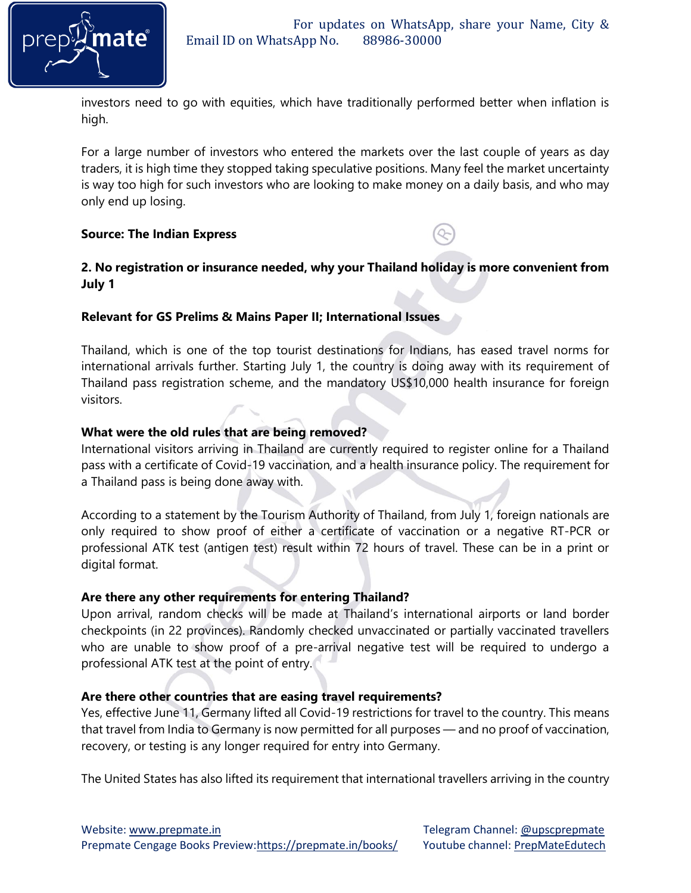

investors need to go with equities, which have traditionally performed better when inflation is high.

For a large number of investors who entered the markets over the last couple of years as day traders, it is high time they stopped taking speculative positions. Many feel the market uncertainty is way too high for such investors who are looking to make money on a daily basis, and who may only end up losing.

### **Source: The Indian Express**

# **2. No registration or insurance needed, why your Thailand holiday is more convenient from July 1**

### **Relevant for GS Prelims & Mains Paper II; International Issues**

Thailand, which is one of the top tourist destinations for Indians, has eased travel norms for international arrivals further. Starting July 1, the country is doing away with its requirement of Thailand pass registration scheme, and the mandatory US\$10,000 health insurance for foreign visitors.

### **What were the old rules that are being removed?**

International visitors arriving in Thailand are currently required to register online for a Thailand pass with a certificate of Covid-19 vaccination, and a health insurance policy. The requirement for a Thailand pass is being done away with.

According to a statement by the Tourism Authority of Thailand, from July 1, foreign nationals are only required to show proof of either a certificate of vaccination or a negative RT-PCR or professional ATK test (antigen test) result within 72 hours of travel. These can be in a print or digital format.

#### **Are there any other requirements for entering Thailand?**

Upon arrival, random checks will be made at Thailand's international airports or land border checkpoints (in 22 provinces). Randomly checked unvaccinated or partially vaccinated travellers who are unable to show proof of a pre-arrival negative test will be required to undergo a professional ATK test at the point of entry.

# **Are there other countries that are easing travel requirements?**

Yes, effective June 11, Germany lifted all Covid-19 restrictions for travel to the country. This means that travel from India to Germany is now permitted for all purposes — and no proof of vaccination, recovery, or testing is any longer required for entry into Germany.

The United States has also lifted its requirement that international travellers arriving in the country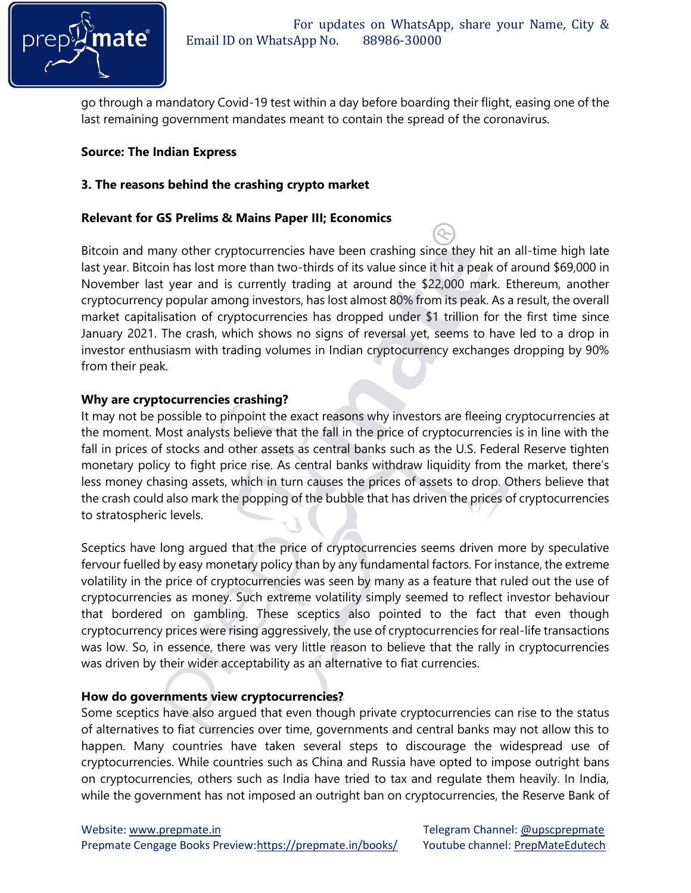

go through a mandatory Covid-19 test within a day before boarding their flight, easing one of the last remaining government mandates meant to contain the spread of the coronavirus.

# **Source: The Indian Express**

### **3. The reasons behind the crashing crypto market**

#### **Relevant for GS Prelims & Mains Paper III; Economics**

Bitcoin and many other cryptocurrencies have been crashing since they hit an all-time high late last year. Bitcoin has lost more than two-thirds of its value since it hit a peak of around \$69,000 in November last year and is currently trading at around the \$22,000 mark. Ethereum, another cryptocurrency popular among investors, has lost almost 80% from its peak. As a result, the overall market capitalisation of cryptocurrencies has dropped under \$1 trillion for the first time since January 2021. The crash, which shows no signs of reversal yet, seems to have led to a drop in investor enthusiasm with trading volumes in Indian cryptocurrency exchanges dropping by 90% from their peak.

#### **Why are cryptocurrencies crashing?**

It may not be possible to pinpoint the exact reasons why investors are fleeing cryptocurrencies at the moment. Most analysts believe that the fall in the price of cryptocurrencies is in line with the fall in prices of stocks and other assets as central banks such as the U.S. Federal Reserve tighten monetary policy to fight price rise. As central banks withdraw liquidity from the market, there's less money chasing assets, which in turn causes the prices of assets to drop. Others believe that the crash could also mark the popping of the bubble that has driven the prices of cryptocurrencies to stratospheric levels.

Sceptics have long argued that the price of cryptocurrencies seems driven more by speculative fervour fuelled by easy monetary policy than by any fundamental factors. For instance, the extreme volatility in the price of cryptocurrencies was seen by many as a feature that ruled out the use of cryptocurrencies as money. Such extreme volatility simply seemed to reflect investor behaviour that bordered on gambling. These sceptics also pointed to the fact that even though cryptocurrency prices were rising aggressively, the use of cryptocurrencies for real-life transactions was low. So, in essence, there was very little reason to believe that the rally in cryptocurrencies was driven by their wider acceptability as an alternative to fiat currencies.

# **How do governments view cryptocurrencies?**

Some sceptics have also argued that even though private cryptocurrencies can rise to the status of alternatives to fiat currencies over time, governments and central banks may not allow this to happen. Many countries have taken several steps to discourage the widespread use of cryptocurrencies. While countries such as China and Russia have opted to impose outright bans on cryptocurrencies, others such as India have tried to tax and regulate them heavily. In India, while the government has not imposed an outright ban on cryptocurrencies, the Reserve Bank of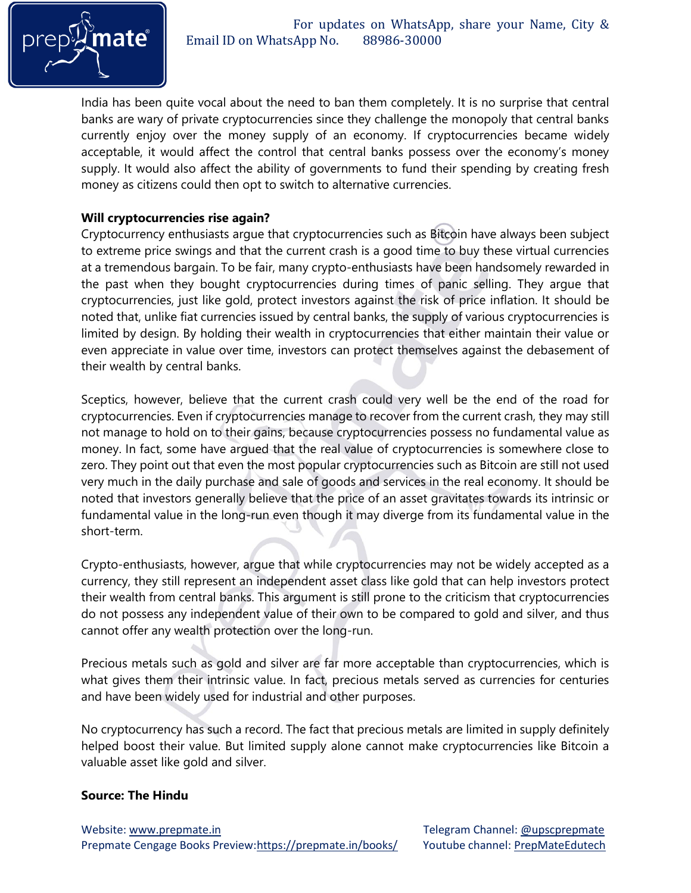

India has been quite vocal about the need to ban them completely. It is no surprise that central banks are wary of private cryptocurrencies since they challenge the monopoly that central banks currently enjoy over the money supply of an economy. If cryptocurrencies became widely acceptable, it would affect the control that central banks possess over the economy's money supply. It would also affect the ability of governments to fund their spending by creating fresh money as citizens could then opt to switch to alternative currencies.

#### **Will cryptocurrencies rise again?**

Cryptocurrency enthusiasts argue that cryptocurrencies such as Bitcoin have always been subject to extreme price swings and that the current crash is a good time to buy these virtual currencies at a tremendous bargain. To be fair, many crypto-enthusiasts have been handsomely rewarded in the past when they bought cryptocurrencies during times of panic selling. They argue that cryptocurrencies, just like gold, protect investors against the risk of price inflation. It should be noted that, unlike fiat currencies issued by central banks, the supply of various cryptocurrencies is limited by design. By holding their wealth in cryptocurrencies that either maintain their value or even appreciate in value over time, investors can protect themselves against the debasement of their wealth by central banks.

Sceptics, however, believe that the current crash could very well be the end of the road for cryptocurrencies. Even if cryptocurrencies manage to recover from the current crash, they may still not manage to hold on to their gains, because cryptocurrencies possess no fundamental value as money. In fact, some have argued that the real value of cryptocurrencies is somewhere close to zero. They point out that even the most popular cryptocurrencies such as Bitcoin are still not used very much in the daily purchase and sale of goods and services in the real economy. It should be noted that investors generally believe that the price of an asset gravitates towards its intrinsic or fundamental value in the long-run even though it may diverge from its fundamental value in the short-term.

Crypto-enthusiasts, however, argue that while cryptocurrencies may not be widely accepted as a currency, they still represent an independent asset class like gold that can help investors protect their wealth from central banks. This argument is still prone to the criticism that cryptocurrencies do not possess any independent value of their own to be compared to gold and silver, and thus cannot offer any wealth protection over the long-run.

Precious metals such as gold and silver are far more acceptable than cryptocurrencies, which is what gives them their intrinsic value. In fact, precious metals served as currencies for centuries and have been widely used for industrial and other purposes.

No cryptocurrency has such a record. The fact that precious metals are limited in supply definitely helped boost their value. But limited supply alone cannot make cryptocurrencies like Bitcoin a valuable asset like gold and silver.

#### **Source: The Hindu**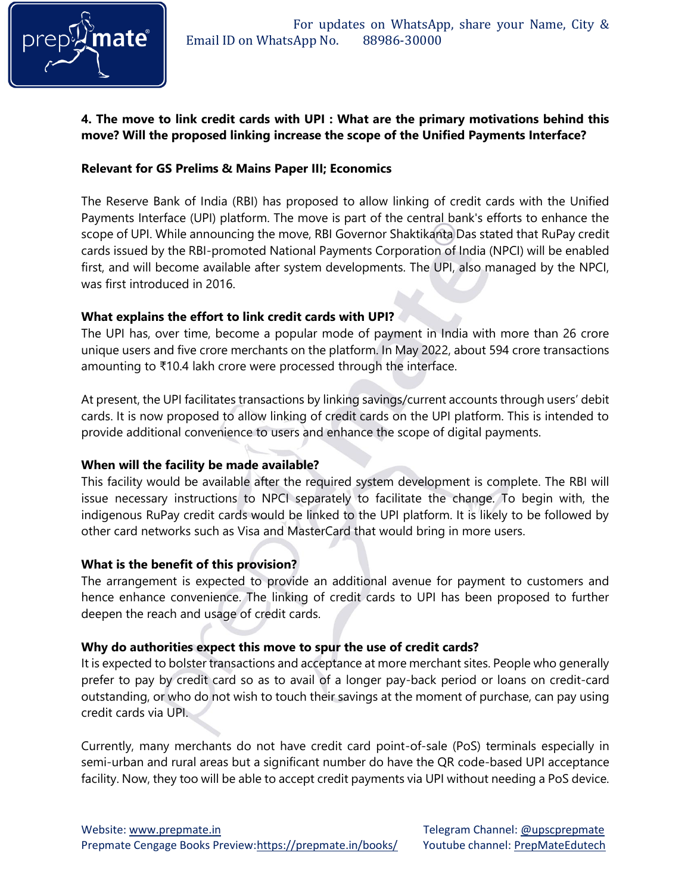

# **4. The move to link credit cards with UPI : What are the primary motivations behind this move? Will the proposed linking increase the scope of the Unified Payments Interface?**

### **Relevant for GS Prelims & Mains Paper III; Economics**

The Reserve Bank of India (RBI) has proposed to allow linking of credit cards with the Unified Payments Interface (UPI) platform. The move is part of the central bank's efforts to enhance the scope of UPI. While announcing the move, RBI Governor Shaktikanta Das stated that RuPay credit cards issued by the RBI-promoted National Payments Corporation of India (NPCI) will be enabled first, and will become available after system developments. The UPI, also managed by the NPCI, was first introduced in 2016.

### **What explains the effort to link credit cards with UPI?**

The UPI has, over time, become a popular mode of payment in India with more than 26 crore unique users and five crore merchants on the platform. In May 2022, about 594 crore transactions amounting to ₹10.4 lakh crore were processed through the interface.

At present, the UPI facilitates transactions by linking savings/current accounts through users' debit cards. It is now proposed to allow linking of credit cards on the UPI platform. This is intended to provide additional convenience to users and enhance the scope of digital payments.

# **When will the facility be made available?**

This facility would be available after the required system development is complete. The RBI will issue necessary instructions to NPCI separately to facilitate the change. To begin with, the indigenous RuPay credit cards would be linked to the UPI platform. It is likely to be followed by other card networks such as Visa and MasterCard that would bring in more users.

#### **What is the benefit of this provision?**

The arrangement is expected to provide an additional avenue for payment to customers and hence enhance convenience. The linking of credit cards to UPI has been proposed to further deepen the reach and usage of credit cards.

#### **Why do authorities expect this move to spur the use of credit cards?**

It is expected to bolster transactions and acceptance at more merchant sites. People who generally prefer to pay by credit card so as to avail of a longer pay-back period or loans on credit-card outstanding, or who do not wish to touch their savings at the moment of purchase, can pay using credit cards via UPI.

Currently, many merchants do not have credit card point-of-sale (PoS) terminals especially in semi-urban and rural areas but a significant number do have the QR code-based UPI acceptance facility. Now, they too will be able to accept credit payments via UPI without needing a PoS device.